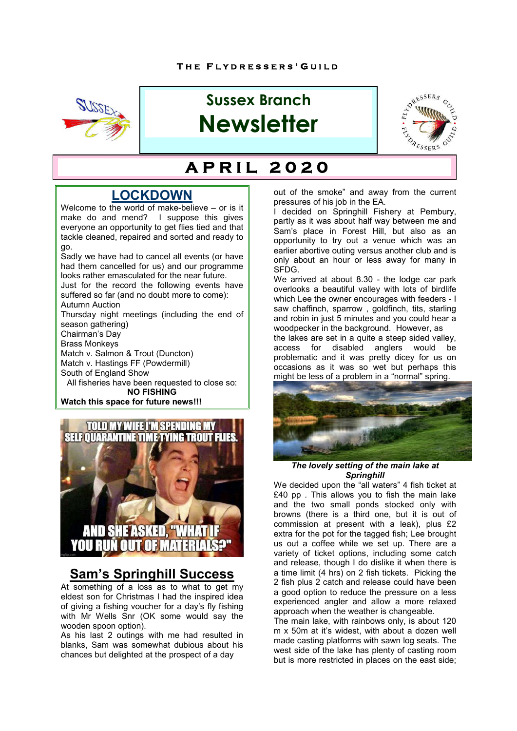

# **Sussex Branch Newsletter**



#### **H** B E F  **A P R I L 2 0 2 0**

# **LOCKDOWN**

Welcome to the world of make-believe – or is it make do and mend? I suppose this gives everyone an opportunity to get flies tied and that tackle cleaned, repaired and sorted and ready to go.

Sadly we have had to cancel all events (or have had them cancelled for us) and our programme looks rather emasculated for the near future.

Just for the record the following events have suffered so far (and no doubt more to come): Autumn Auction

Thursday night meetings (including the end of season gathering)

Chairman's Day

Brass Monkeys

Match v. Salmon & Trout (Duncton)

Match v. Hastings FF (Powdermill)

South of England Show

All fisheries have been requested to close so: **NO FISHING**

**Watch this space for future news!!!**



# **Sam's Springhill Success**

At something of a loss as to what to get my eldest son for Christmas I had the inspired idea of giving a fishing voucher for a day's fly fishing with Mr Wells Snr (OK some would say the wooden spoon option).

As his last 2 outings with me had resulted in blanks, Sam was somewhat dubious about his chances but delighted at the prospect of a day

out of the smoke" and away from the current pressures of his job in the EA.

I decided on Springhill Fishery at Pembury, partly as it was about half way between me and Sam's place in Forest Hill, but also as an opportunity to try out a venue which was an earlier abortive outing versus another club and is only about an hour or less away for many in SFDG.

We arrived at about 8.30 - the lodge car park overlooks a beautiful valley with lots of birdlife which Lee the owner encourages with feeders - I saw chaffinch, sparrow , goldfinch, tits, starling and robin in just 5 minutes and you could hear a woodpecker in the background. However, as the lakes are set in a quite a steep sided valley, access for disabled anglers would be problematic and it was pretty dicey for us on occasions as it was so wet but perhaps this might be less of a problem in a "normal" spring.



*The lovely setting of the main lake at Springhill*

We decided upon the "all waters" 4 fish ticket at £40 pp . This allows you to fish the main lake and the two small ponds stocked only with browns (there is a third one, but it is out of commission at present with a leak), plus £2 extra for the pot for the tagged fish; Lee brought us out a coffee while we set up. There are a variety of ticket options, including some catch and release, though I do dislike it when there is a time limit (4 hrs) on 2 fish tickets. Picking the 2 fish plus 2 catch and release could have been a good option to reduce the pressure on a less experienced angler and allow a more relaxed approach when the weather is changeable.

The main lake, with rainbows only, is about 120 m x 50m at it's widest, with about a dozen well made casting platforms with sawn log seats. The west side of the lake has plenty of casting room but is more restricted in places on the east side;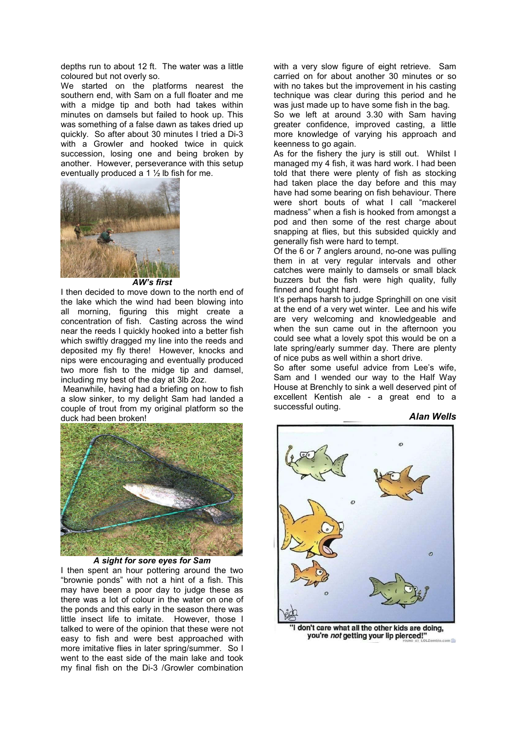depths run to about 12 ft. The water was a little coloured but not overly so.

We started on the platforms nearest the southern end, with Sam on a full floater and me with a midge tip and both had takes within minutes on damsels but failed to hook up. This was something of a false dawn as takes dried up quickly. So after about 30 minutes I tried a Di-3 with a Growler and hooked twice in quick succession, losing one and being broken by another. However, perseverance with this setup eventually produced a 1 ½ lb fish for me.



*AW's first*

I then decided to move down to the north end of the lake which the wind had been blowing into all morning, figuring this might create a concentration of fish. Casting across the wind near the reeds I quickly hooked into a better fish which swiftly dragged my line into the reeds and deposited my fly there! However, knocks and nips were encouraging and eventually produced two more fish to the midge tip and damsel, including my best of the day at 3lb 2oz.

Meanwhile, having had a briefing on how to fish a slow sinker, to my delight Sam had landed a couple of trout from my original platform so the duck had been broken!



#### *A sight for sore eyes for Sam*

I then spent an hour pottering around the two "brownie ponds" with not a hint of a fish. This may have been a poor day to judge these as there was a lot of colour in the water on one of the ponds and this early in the season there was little insect life to imitate. However, those I talked to were of the opinion that these were not easy to fish and were best approached with more imitative flies in later spring/summer. So I went to the east side of the main lake and took my final fish on the Di-3 /Growler combination with a very slow figure of eight retrieve. Sam carried on for about another 30 minutes or so with no takes but the improvement in his casting technique was clear during this period and he was just made up to have some fish in the bag.

So we left at around 3.30 with Sam having greater confidence, improved casting, a little more knowledge of varying his approach and keenness to go again.

As for the fishery the jury is still out. Whilst I managed my 4 fish, it was hard work. I had been told that there were plenty of fish as stocking had taken place the day before and this may have had some bearing on fish behaviour. There were short bouts of what I call "mackerel madness" when a fish is hooked from amongst a pod and then some of the rest charge about snapping at flies, but this subsided quickly and generally fish were hard to tempt.

Of the 6 or 7 anglers around, no-one was pulling them in at very regular intervals and other catches were mainly to damsels or small black buzzers but the fish were high quality, fully finned and fought hard.

It's perhaps harsh to judge Springhill on one visit at the end of a very wet winter. Lee and his wife are very welcoming and knowledgeable and when the sun came out in the afternoon you could see what a lovely spot this would be on a late spring/early summer day. There are plenty of nice pubs as well within a short drive.

So after some useful advice from Lee's wife, Sam and I wended our way to the Half Way House at Brenchly to sink a well deserved pint of excellent Kentish ale - a great end to a successful outing.

*Alan Wells*



I don't care what all the other kids are doing, you're not getting your lip pierced!"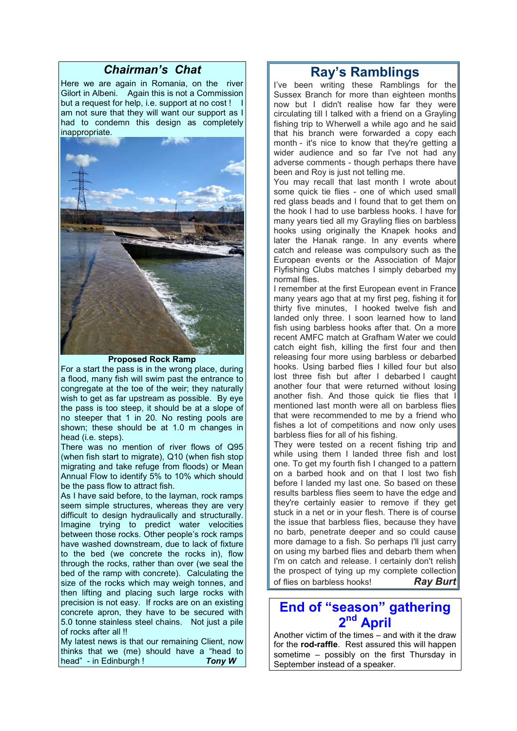#### *Chairman's Chat*

Here we are again in Romania, on the river Gilort in Albeni. Again this is not a Commission but a request for help, i.e. support at no cost ! I am not sure that they will want our support as I had to condemn this design as completely inappropriate.



#### **Proposed Rock Ramp**

For a start the pass is in the wrong place, during a flood, many fish will swim past the entrance to congregate at the toe of the weir; they naturally wish to get as far upstream as possible. By eye the pass is too steep, it should be at a slope of no steeper that 1 in 20. No resting pools are shown; these should be at 1.0 m changes in head (i.e. steps).

There was no mention of river flows of Q95 (when fish start to migrate), Q10 (when fish stop migrating and take refuge from floods) or Mean Annual Flow to identify 5% to 10% which should be the pass flow to attract fish.

As I have said before, to the layman, rock ramps seem simple structures, whereas they are very difficult to design hydraulically and structurally. Imagine trying to predict water velocities between those rocks. Other people's rock ramps have washed downstream, due to lack of fixture to the bed (we concrete the rocks in), flow through the rocks, rather than over (we seal the bed of the ramp with concrete). Calculating the size of the rocks which may weigh tonnes, and then lifting and placing such large rocks with precision is not easy. If rocks are on an existing concrete apron, they have to be secured with 5.0 tonne stainless steel chains. Not just a pile of rocks after all !!

My latest news is that our remaining Client, now thinks that we (me) should have a "head to head" - in Edinburgh ! *Tony W*

### **Ray's Ramblings**

I've been writing these Ramblings for the Sussex Branch for more than eighteen months now but I didn't realise how far they were circulating till I talked with a friend on a Grayling fishing trip to Wherwell a while ago and he said that his branch were forwarded a copy each month - it's nice to know that they're getting a wider audience and so far I've not had any adverse comments - though perhaps there have been and Roy is just not telling me.

You may recall that last month I wrote about some quick tie flies - one of which used small red glass beads and I found that to get them on the hook I had to use barbless hooks. I have for many years tied all my Grayling flies on barbless hooks using originally the Knapek hooks and later the Hanak range. In any events where catch and release was compulsory such as the European events or the Association of Major Flyfishing Clubs matches I simply debarbed my normal flies.

I remember at the first European event in France many years ago that at my first peg, fishing it for thirty five minutes, I hooked twelve fish and landed only three. I soon learned how to land fish using barbless hooks after that. On a more recent AMFC match at Grafham Water we could catch eight fish, killing the first four and then releasing four more using barbless or debarbed hooks. Using barbed flies I killed four but also lost three fish but after I debarbed I caught another four that were returned without losing another fish. And those quick tie flies that I mentioned last month were all on barbless flies that were recommended to me by a friend who fishes a lot of competitions and now only uses barbless flies for all of his fishing.

They were tested on a recent fishing trip and while using them I landed three fish and lost one. To get my fourth fish I changed to a pattern on a barbed hook and on that I lost two fish before I landed my last one. So based on these results barbless flies seem to have the edge and they're certainly easier to remove if they get stuck in a net or in your flesh. There is of course the issue that barbless flies, because they have no barb, penetrate deeper and so could cause more damage to a fish. So perhaps I'll just carry on using my barbed flies and debarb them when I'm on catch and release. I certainly don't relish the prospect of tying up my complete collection of flies on barbless hooks! *Ray Burt*

### **End of "season" gathering 2nd April**

Another victim of the times – and with it the draw for the **rod-raffle**. Rest assured this will happen sometime – possibly on the first Thursday in September instead of a speaker.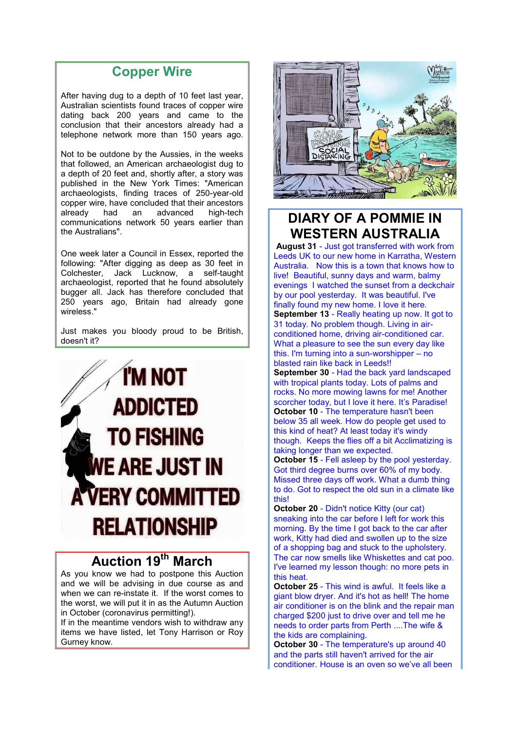## **Copper Wire**

After having dug to a depth of 10 feet last year, Australian scientists found traces of copper wire dating back 200 years and came to the conclusion that their ancestors already had a telephone network more than 150 years ago.

Not to be outdone by the Aussies, in the weeks that followed, an American archaeologist dug to a depth of 20 feet and, shortly after, a story was published in the New York Times: "American archaeologists, finding traces of 250-year-old copper wire, have concluded that their ancestors<br>already bad an advanced high-tech advanced communications network 50 years earlier than the Australians".

One week later a Council in Essex, reported the following: "After digging as deep as 30 feet in Colchester, Jack Lucknow, a self-taught archaeologist, reported that he found absolutely bugger all. Jack has therefore concluded that 250 years ago, Britain had already gone wireless."

Just makes you bloody proud to be British, doesn't it?



# **Auction 19th March**

As you know we had to postpone this Auction and we will be advising in due course as and when we can re-instate it. If the worst comes to the worst, we will put it in as the Autumn Auction in October (coronavirus permitting!).

If in the meantime vendors wish to withdraw any items we have listed, let Tony Harrison or Roy Gurney know.



# **DIARY OF A POMMIE IN WESTERN AUSTRALIA**

**August 31** - Just got transferred with work from Leeds UK to our new home in Karratha, Western Australia. Now this is a town that knows how to live! Beautiful, sunny days and warm, balmy evenings I watched the sunset from a deckchair by our pool yesterday. It was beautiful. I've finally found my new home. I love it here. **September 13** - Really heating up now. It got to 31 today. No problem though. Living in airconditioned home, driving air-conditioned car. What a pleasure to see the sun every day like this. I'm turning into a sun-worshipper – no blasted rain like back in Leeds!!

**September 30** - Had the back yard landscaped with tropical plants today. Lots of palms and rocks. No more mowing lawns for me! Another scorcher today, but I love it here. It's Paradise! **October 10** - The temperature hasn't been below 35 all week. How do people get used to this kind of heat? At least today it's windy though. Keeps the flies off a bit Acclimatizing is taking longer than we expected.

**October 15** - Fell asleep by the pool yesterday. Got third degree burns over 60% of my body. Missed three days off work. What a dumb thing to do. Got to respect the old sun in a climate like this!

**October 20** - Didn't notice Kitty (our cat) sneaking into the car before I left for work this morning. By the time I got back to the car after work, Kitty had died and swollen up to the size of a shopping bag and stuck to the upholstery. The car now smells like Whiskettes and cat poo. I've learned my lesson though: no more pets in this heat.

**October 25** - This wind is awful. It feels like a giant blow dryer. And it's hot as hell! The home air conditioner is on the blink and the repair man charged \$200 just to drive over and tell me he needs to order parts from Perth ....The wife & the kids are complaining.

**October 30** - The temperature's up around 40 and the parts still haven't arrived for the air conditioner. House is an oven so we've all been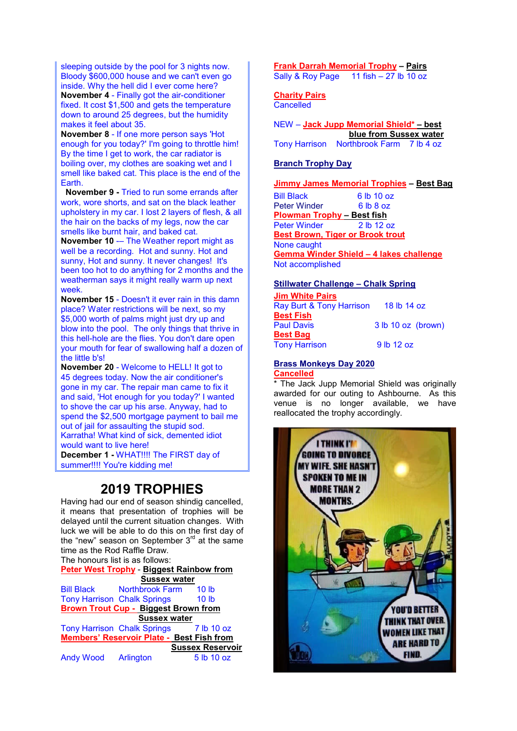sleeping outside by the pool for 3 nights now. Bloody \$600,000 house and we can't even go inside. Why the hell did I ever come here? **November 4** - Finally got the air-conditioner fixed. It cost \$1,500 and gets the temperature down to around 25 degrees, but the humidity makes it feel about 35.

**November 8** - If one more person says 'Hot enough for you today?' I'm going to throttle him! By the time I get to work, the car radiator is boiling over, my clothes are soaking wet and I smell like baked cat. This place is the end of the Earth.

**November 9 -** Tried to run some errands after work, wore shorts, and sat on the black leather upholstery in my car. I lost 2 layers of flesh, & all the hair on the backs of my legs, now the car smells like burnt hair, and baked cat.

**November 10** -– The Weather report might as well be a recording. Hot and sunny. Hot and sunny, Hot and sunny. It never changes! It's been too hot to do anything for 2 months and the weatherman says it might really warm up next week.

**November 15** - Doesn't it ever rain in this damn place? Water restrictions will be next, so my \$5,000 worth of palms might just dry up and blow into the pool. The only things that thrive in this hell-hole are the flies. You don't dare open your mouth for fear of swallowing half a dozen of the little b's!

**November 20** - Welcome to HELL! It got to 45 degrees today. Now the air conditioner's gone in my car. The repair man came to fix it and said, 'Hot enough for you today?' I wanted to shove the car up his arse. Anyway, had to spend the \$2,500 mortgage payment to bail me out of jail for assaulting the stupid sod. Karratha! What kind of sick, demented idiot

would want to live here! **December 1 -** WHAT!!!! The FIRST day of

summer!!!! You're kidding me!

### **2019 TROPHIES**

Having had our end of season shindig cancelled, it means that presentation of trophies will be delayed until the current situation changes. With luck we will be able to do this on the first day of the "new" season on September  $3<sup>rd</sup>$  at the same time as the Rod Raffle Draw.

The honours list is as follows:

**Peter West Trophy** - **Biggest Rainbow from Sussex water**

Bill Black Northbrook Farm 10 lb Tony Harrison Chalk Springs 10 lb **Brown Trout Cup - Biggest Brown from Sussex water** Tony Harrison Chalk Springs 7 lb 10 oz **Members' Reservoir Plate - Best Fish from Sussex Reservoir**

Andy Wood Arlington 5 lb 10 oz

### **Frank Darrah Memorial Trophy – Pairs**

Sally & Roy Page 11 fish – 27 lb 10 oz

#### **Charity Pairs**

**Cancelled** 

| $NEW - Jack \, Jupp \, Memorial \, Shield* - best$ |  |
|----------------------------------------------------|--|
| blue from Sussex water                             |  |
| Tony Harrison Northbrook Farm 7 lb 4 oz            |  |

#### **Branch Trophy Day**

**Jimmy James Memorial Trophies – Best Bag**

Bill Black 6 lb 10 oz Peter Winder 6 lb 8 oz **Plowman Trophy – Best fish** Peter Winder **Best Brown, Tiger or Brook trout** None caught **Gemma Winder Shield – 4 lakes challenge** Not accomplished

#### **Stillwater Challenge – Chalk Spring**

| <b>Jim White Pairs</b>   |                    |
|--------------------------|--------------------|
| Ray Burt & Tony Harrison | 18 lb 14 oz        |
| <b>Best Fish</b>         |                    |
| <b>Paul Davis</b>        | 3 lb 10 oz (brown) |
| <b>Best Bag</b>          |                    |
| <b>Tony Harrison</b>     | 9 lb 12 oz         |

#### **Brass Monkeys Day 2020 Cancelled**

\* The Jack Jupp Memorial Shield was originally awarded for our outing to Ashbourne. As this venue is no longer available, we have reallocated the trophy accordingly.